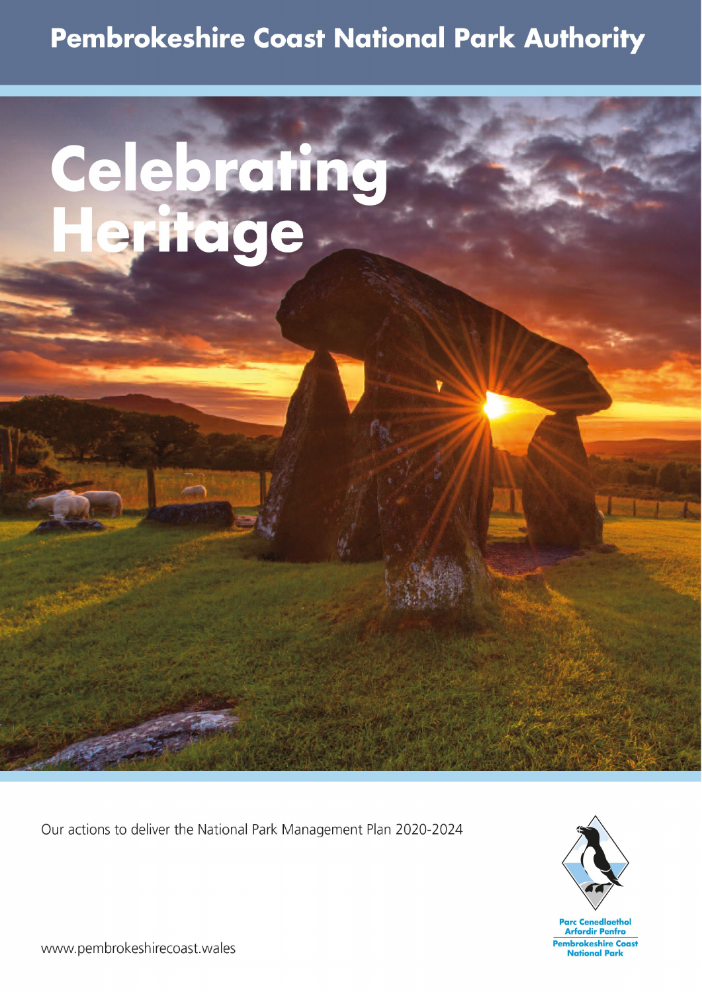# **Pembrokeshire Coast National Park Authority**

# Celebrating<br>Heritage

# Our actions to deliver the National Park Management Plan 2020-2024

## www.pembrokeshirecoast.wales

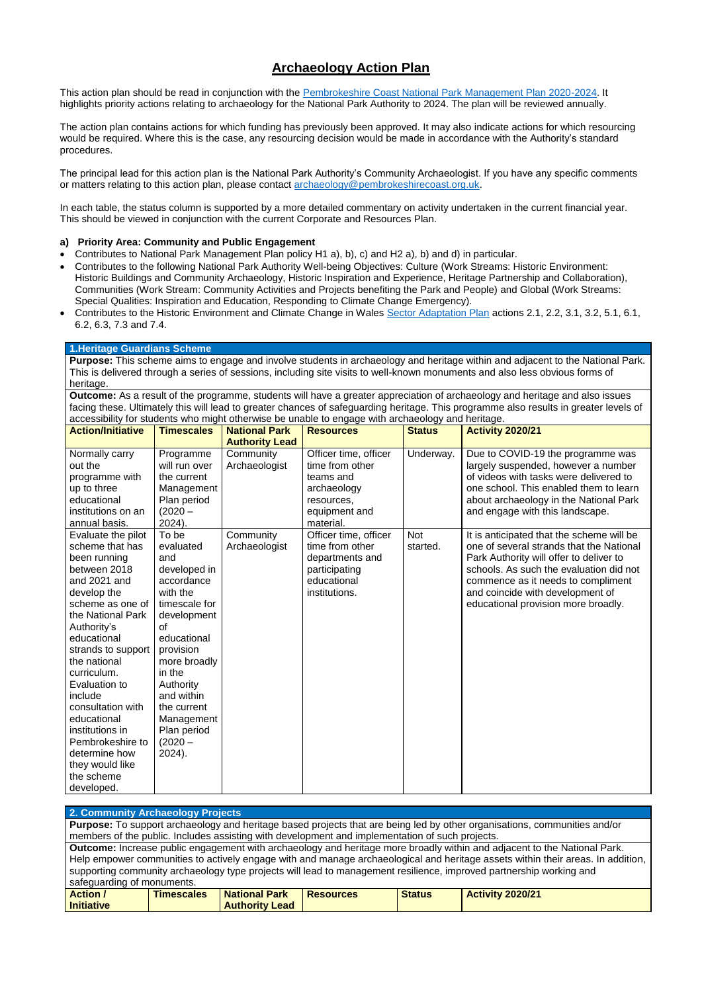### **Archaeology Action Plan**

This action plan should be read in conjunction with the [Pembrokeshire Coast National Park Management Plan 2020-2024.](https://www.pembrokeshirecoast.wales/wp-content/uploads/2020/01/National-Park-Management-Plan-2020-2024-Eng.pdf) It highlights priority actions relating to archaeology for the National Park Authority to 2024. The plan will be reviewed annually.

The action plan contains actions for which funding has previously been approved. It may also indicate actions for which resourcing would be required. Where this is the case, any resourcing decision would be made in accordance with the Authority's standard procedures.

The principal lead for this action plan is the National Park Authority's Community Archaeologist. If you have any specific comments or matters relating to this action plan, please contact [archaeology@pembrokeshirecoast.org.uk.](mailto:archaeology@pembrokeshirecoast.org.uk)

In each table, the status column is supported by a more detailed commentary on activity undertaken in the current financial year. This should be viewed in conjunction with the current Corporate and Resources Plan.

#### **a) Priority Area: Community and Public Engagement**

- Contributes to National Park Management Plan policy H1 a), b), c) and H2 a), b) and d) in particular.
- Contributes to the following National Park Authority Well-being Objectives: Culture (Work Streams: Historic Environment: Historic Buildings and Community Archaeology, Historic Inspiration and Experience, Heritage Partnership and Collaboration), Communities (Work Stream: Community Activities and Projects benefiting the Park and People) and Global (Work Streams: Special Qualities: Inspiration and Education, Responding to Climate Change Emergency).
- Contributes to the Historic Environment and Climate Change in Wales [Sector Adaptation Plan](https://cadw.gov.wales/sites/default/files/2020-02/Adaptation%20Plan%20-%20FINAL%20WEB%20-%20English%20%281%29.pdf) actions 2.1, 2.2, 3.1, 3.2, 5.1, 6.1, 6.2, 6.3, 7.3 and 7.4.

#### **1.Heritage Guardians Scheme**

**Purpose:** This scheme aims to engage and involve students in archaeology and heritage within and adjacent to the National Park. This is delivered through a series of sessions, including site visits to well-known monuments and also less obvious forms of heritage.

**Outcome:** As a result of the programme, students will have a greater appreciation of archaeology and heritage and also issues facing these. Ultimately this will lead to greater chances of safeguarding heritage. This programme also results in greater levels of accessibility for students who might otherwise be unable to engage with archaeology and heritage.

|                          | aboobommy for plaachto who might outerwise be anable to chyage with archaeology and hemage. |                       |                       |               |                                           |  |  |  |
|--------------------------|---------------------------------------------------------------------------------------------|-----------------------|-----------------------|---------------|-------------------------------------------|--|--|--|
| <b>Action/Initiative</b> | <b>Timescales</b>                                                                           | <b>National Park</b>  | <b>Resources</b>      | <b>Status</b> | <b>Activity 2020/21</b>                   |  |  |  |
|                          |                                                                                             | <b>Authority Lead</b> |                       |               |                                           |  |  |  |
| Normally carry           | Programme                                                                                   | Community             | Officer time, officer | Underway.     | Due to COVID-19 the programme was         |  |  |  |
| out the                  | will run over                                                                               | Archaeologist         | time from other       |               | largely suspended, however a number       |  |  |  |
| programme with           | the current                                                                                 |                       | teams and             |               | of videos with tasks were delivered to    |  |  |  |
| up to three              | Management                                                                                  |                       | archaeology           |               | one school. This enabled them to learn    |  |  |  |
| educational              | Plan period                                                                                 |                       | resources,            |               | about archaeology in the National Park    |  |  |  |
| institutions on an       | $(2020 -$                                                                                   |                       | equipment and         |               | and engage with this landscape.           |  |  |  |
| annual basis.            | $2024$ ).                                                                                   |                       | material.             |               |                                           |  |  |  |
| Evaluate the pilot       | To be                                                                                       | Community             | Officer time, officer | <b>Not</b>    | It is anticipated that the scheme will be |  |  |  |
| scheme that has          | evaluated                                                                                   | Archaeologist         | time from other       | started.      | one of several strands that the National  |  |  |  |
| been running             | and                                                                                         |                       | departments and       |               | Park Authority will offer to deliver to   |  |  |  |
| between 2018             | developed in                                                                                |                       | participating         |               | schools. As such the evaluation did not   |  |  |  |
| and 2021 and             | accordance                                                                                  |                       | educational           |               | commence as it needs to compliment        |  |  |  |
| develop the              | with the                                                                                    |                       | institutions.         |               | and coincide with development of          |  |  |  |
| scheme as one of         | timescale for                                                                               |                       |                       |               | educational provision more broadly.       |  |  |  |
| the National Park        | development                                                                                 |                       |                       |               |                                           |  |  |  |
| Authority's              | Ωf                                                                                          |                       |                       |               |                                           |  |  |  |
| educational              | educational                                                                                 |                       |                       |               |                                           |  |  |  |
| strands to support       | provision                                                                                   |                       |                       |               |                                           |  |  |  |
| the national             | more broadly                                                                                |                       |                       |               |                                           |  |  |  |
| curriculum.              | in the                                                                                      |                       |                       |               |                                           |  |  |  |
| Evaluation to            | Authority                                                                                   |                       |                       |               |                                           |  |  |  |
| include                  | and within                                                                                  |                       |                       |               |                                           |  |  |  |
| consultation with        | the current                                                                                 |                       |                       |               |                                           |  |  |  |
| educational              | Management                                                                                  |                       |                       |               |                                           |  |  |  |
| institutions in          | Plan period                                                                                 |                       |                       |               |                                           |  |  |  |
| Pembrokeshire to         | $(2020 -$                                                                                   |                       |                       |               |                                           |  |  |  |

| determine how   | $2024$ ). |  |  |
|-----------------|-----------|--|--|
| they would like |           |  |  |
| the scheme      |           |  |  |
| developed.      |           |  |  |

#### **2. Community Archaeology Projects**

**Purpose:** To support archaeology and heritage based projects that are being led by other organisations, communities and/or members of the public. Includes assisting with development and implementation of such projects.

**Outcome:** Increase public engagement with archaeology and heritage more broadly within and adjacent to the National Park. Help empower communities to actively engage with and manage archaeological and heritage assets within their areas. In addition, supporting community archaeology type projects will lead to management resilience, improved partnership working and safeguarding of monuments.

| <b>Action</b>     | <b>Timescales</b> | <b>National Park</b>  | <b>Resources</b> | <b>Status</b> | <b>Activity 2020/21</b> |
|-------------------|-------------------|-----------------------|------------------|---------------|-------------------------|
| <b>Initiative</b> |                   | <b>Authority Lead</b> |                  |               |                         |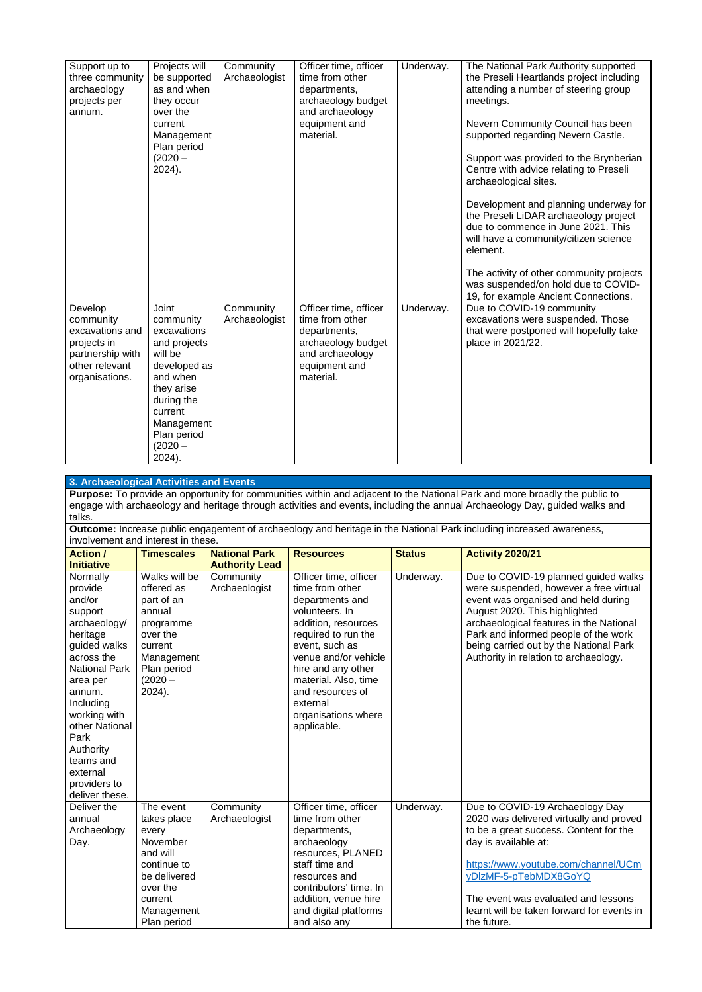| Support up to<br>three community<br>archaeology<br>projects per<br>annum.                                      | Projects will<br>be supported<br>as and when<br>they occur<br>over the<br>current                                                                                                          | Community<br>Archaeologist | Officer time, officer<br>time from other<br>departments,<br>archaeology budget<br>and archaeology<br>equipment and              | Underway. | The National Park Authority supported<br>the Preseli Heartlands project including<br>attending a number of steering group<br>meetings.<br>Nevern Community Council has been |
|----------------------------------------------------------------------------------------------------------------|--------------------------------------------------------------------------------------------------------------------------------------------------------------------------------------------|----------------------------|---------------------------------------------------------------------------------------------------------------------------------|-----------|-----------------------------------------------------------------------------------------------------------------------------------------------------------------------------|
|                                                                                                                | Management<br>Plan period<br>$(2020 -$<br>2024).                                                                                                                                           |                            | material.                                                                                                                       |           | supported regarding Nevern Castle.<br>Support was provided to the Brynberian<br>Centre with advice relating to Preseli<br>archaeological sites.                             |
|                                                                                                                |                                                                                                                                                                                            |                            |                                                                                                                                 |           | Development and planning underway for<br>the Preseli LiDAR archaeology project<br>due to commence in June 2021. This<br>will have a community/citizen science<br>element.   |
|                                                                                                                |                                                                                                                                                                                            |                            |                                                                                                                                 |           | The activity of other community projects<br>was suspended/on hold due to COVID-<br>19, for example Ancient Connections.                                                     |
| Develop<br>community<br>excavations and<br>projects in<br>partnership with<br>other relevant<br>organisations. | <b>Joint</b><br>community<br>excavations<br>and projects<br>will be<br>developed as<br>and when<br>they arise<br>during the<br>current<br>Management<br>Plan period<br>$(2020 -$<br>2024). | Community<br>Archaeologist | Officer time, officer<br>time from other<br>departments,<br>archaeology budget<br>and archaeology<br>equipment and<br>material. | Underway. | Due to COVID-19 community<br>excavations were suspended. Those<br>that were postponed will hopefully take<br>place in 2021/22.                                              |

#### **3. Archaeological Activities and Events**

**Purpose:** To provide an opportunity for communities within and adjacent to the National Park and more broadly the public to engage with archaeology and heritage through activities and events, including the annual Archaeology Day, guided walks and talks.

**Outcome:** Increase public engagement of archaeology and heritage in the National Park including increased awareness, involvement and interest in these.

| <b>Action /</b>               | <b>Timescales</b> | <b>National Park</b>       | <b>Resources</b>       | <b>Status</b> | <b>Activity 2020/21</b>                                                    |
|-------------------------------|-------------------|----------------------------|------------------------|---------------|----------------------------------------------------------------------------|
| <b>Initiative</b>             |                   | <b>Authority Lead</b>      |                        |               |                                                                            |
| Normally                      | Walks will be     | Community                  | Officer time, officer  | Underway.     | Due to COVID-19 planned guided walks                                       |
| provide                       | offered as        | Archaeologist              | time from other        |               | were suspended, however a free virtual                                     |
| and/or                        | part of an        |                            | departments and        |               | event was organised and held during                                        |
| support                       | annual            |                            | volunteers. In         |               | August 2020. This highlighted                                              |
| archaeology/                  | programme         |                            | addition, resources    |               | archaeological features in the National                                    |
| heritage                      | over the          |                            | required to run the    |               | Park and informed people of the work                                       |
| guided walks                  | current           |                            | event, such as         |               | being carried out by the National Park                                     |
| across the                    | Management        |                            | venue and/or vehicle   |               | Authority in relation to archaeology.                                      |
| <b>National Park</b>          | Plan period       |                            | hire and any other     |               |                                                                            |
| area per                      | $(2020 -$         |                            | material. Also, time   |               |                                                                            |
| annum.                        | 2024).            |                            | and resources of       |               |                                                                            |
| Including                     |                   |                            | external               |               |                                                                            |
| working with                  |                   |                            | organisations where    |               |                                                                            |
| other National                |                   |                            | applicable.            |               |                                                                            |
| Park                          |                   |                            |                        |               |                                                                            |
| Authority                     |                   |                            |                        |               |                                                                            |
| teams and                     |                   |                            |                        |               |                                                                            |
| external                      |                   |                            |                        |               |                                                                            |
| providers to                  |                   |                            |                        |               |                                                                            |
| deliver these.<br>Deliver the | The event         |                            | Officer time, officer  |               |                                                                            |
| annual                        | takes place       | Community<br>Archaeologist | time from other        | Underway.     | Due to COVID-19 Archaeology Day<br>2020 was delivered virtually and proved |
| Archaeology                   | every             |                            | departments,           |               | to be a great success. Content for the                                     |
| Day.                          | November          |                            | archaeology            |               | day is available at:                                                       |
|                               | and will          |                            | resources, PLANED      |               |                                                                            |
|                               | continue to       |                            | staff time and         |               | https://www.youtube.com/channel/UCm                                        |
|                               | be delivered      |                            | resources and          |               | yDIzMF-5-pTebMDX8GoYQ                                                      |
|                               | over the          |                            | contributors' time. In |               |                                                                            |
|                               | current           |                            | addition, venue hire   |               | The event was evaluated and lessons                                        |
|                               | Management        |                            | and digital platforms  |               | learnt will be taken forward for events in                                 |
|                               | Plan period       |                            | and also any           |               | the future.                                                                |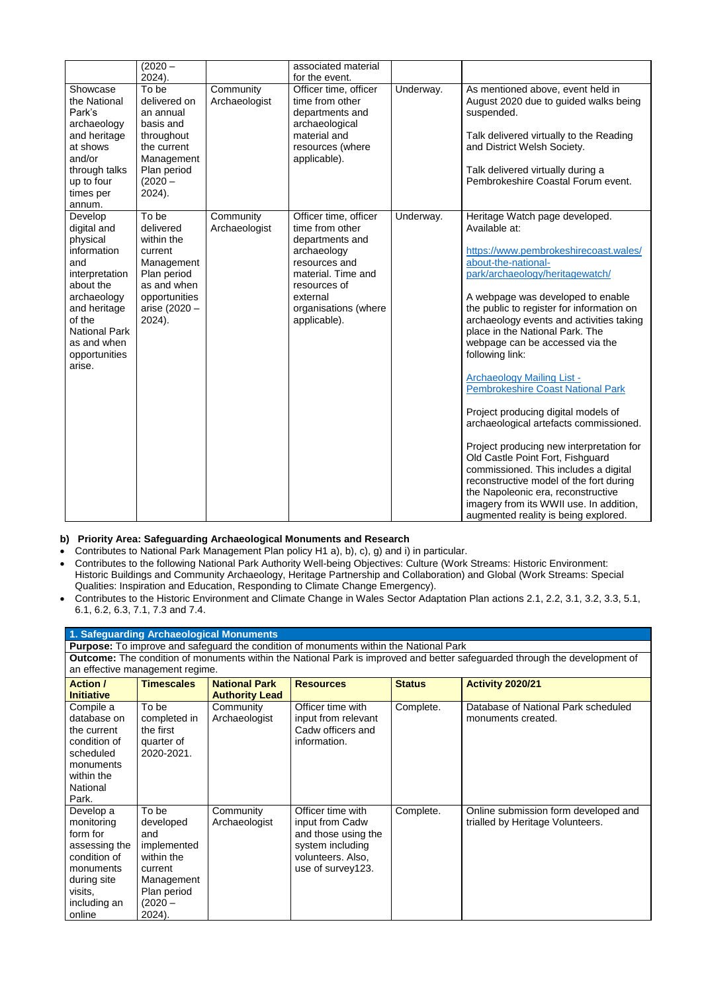|                                                                                                                                                                                                    | $(2020 -$<br>2024).                                                                                                                    |                            | associated material<br>for the event.                                                                                                                                                 |           |                                                                                                                                                                                                                                                                                                                                                                                                                                                                                                                                                                                                                                                                                                                                                                                                                                          |
|----------------------------------------------------------------------------------------------------------------------------------------------------------------------------------------------------|----------------------------------------------------------------------------------------------------------------------------------------|----------------------------|---------------------------------------------------------------------------------------------------------------------------------------------------------------------------------------|-----------|------------------------------------------------------------------------------------------------------------------------------------------------------------------------------------------------------------------------------------------------------------------------------------------------------------------------------------------------------------------------------------------------------------------------------------------------------------------------------------------------------------------------------------------------------------------------------------------------------------------------------------------------------------------------------------------------------------------------------------------------------------------------------------------------------------------------------------------|
| Showcase<br>the National<br>Park's<br>archaeology<br>and heritage<br>at shows<br>and/or<br>through talks<br>up to four<br>times per<br>annum.                                                      | To be<br>delivered on<br>an annual<br>basis and<br>throughout<br>the current<br>Management<br>Plan period<br>$(2020 -$<br>$2024$ ).    | Community<br>Archaeologist | Officer time, officer<br>time from other<br>departments and<br>archaeological<br>material and<br>resources (where<br>applicable).                                                     | Underway. | As mentioned above, event held in<br>August 2020 due to guided walks being<br>suspended.<br>Talk delivered virtually to the Reading<br>and District Welsh Society.<br>Talk delivered virtually during a<br>Pembrokeshire Coastal Forum event.                                                                                                                                                                                                                                                                                                                                                                                                                                                                                                                                                                                            |
| Develop<br>digital and<br>physical<br>information<br>and<br>interpretation<br>about the<br>archaeology<br>and heritage<br>of the<br><b>National Park</b><br>as and when<br>opportunities<br>arise. | To be<br>delivered<br>within the<br>current<br>Management<br>Plan period<br>as and when<br>opportunities<br>arise (2020 -<br>$2024$ ). | Community<br>Archaeologist | Officer time, officer<br>time from other<br>departments and<br>archaeology<br>resources and<br>material. Time and<br>resources of<br>external<br>organisations (where<br>applicable). | Underway. | Heritage Watch page developed.<br>Available at:<br>https://www.pembrokeshirecoast.wales/<br>about-the-national-<br>park/archaeology/heritagewatch/<br>A webpage was developed to enable<br>the public to register for information on<br>archaeology events and activities taking<br>place in the National Park. The<br>webpage can be accessed via the<br>following link:<br><b>Archaeology Mailing List -</b><br><b>Pembrokeshire Coast National Park</b><br>Project producing digital models of<br>archaeological artefacts commissioned.<br>Project producing new interpretation for<br>Old Castle Point Fort, Fishguard<br>commissioned. This includes a digital<br>reconstructive model of the fort during<br>the Napoleonic era, reconstructive<br>imagery from its WWII use. In addition,<br>augmented reality is being explored. |

**Outcome:** The condition of monuments within the National Park is improved and better safeguarded through the development of an effective management regime.

#### **b) Priority Area: Safeguarding Archaeological Monuments and Research**

- Contributes to National Park Management Plan policy H1 a), b), c), g) and i) in particular.
- Contributes to the following National Park Authority Well-being Objectives: Culture (Work Streams: Historic Environment: Historic Buildings and Community Archaeology, Heritage Partnership and Collaboration) and Global (Work Streams: Special Qualities: Inspiration and Education, Responding to Climate Change Emergency).
- Contributes to the Historic Environment and Climate Change in Wales Sector Adaptation Plan actions 2.1, 2.2, 3.1, 3.2, 3.3, 5.1, 6.1, 6.2, 6.3, 7.1, 7.3 and 7.4.

#### **1. Safeguarding Archaeological Monuments**

**Purpose:** To improve and safeguard the condition of monuments within the National Park

|                   | an checave management regime. |                       |                     |               |                                      |  |  |  |
|-------------------|-------------------------------|-----------------------|---------------------|---------------|--------------------------------------|--|--|--|
| <b>Action /</b>   | <b>Timescales</b>             | <b>National Park</b>  | <b>Resources</b>    | <b>Status</b> | <b>Activity 2020/21</b>              |  |  |  |
| <b>Initiative</b> |                               | <b>Authority Lead</b> |                     |               |                                      |  |  |  |
| Compile a         | To be                         | Community             | Officer time with   | Complete.     | Database of National Park scheduled  |  |  |  |
| database on       | completed in                  | Archaeologist         | input from relevant |               | monuments created.                   |  |  |  |
| the current       | the first                     |                       | Cadw officers and   |               |                                      |  |  |  |
| condition of      | quarter of                    |                       | information.        |               |                                      |  |  |  |
| scheduled         | 2020-2021.                    |                       |                     |               |                                      |  |  |  |
| monuments         |                               |                       |                     |               |                                      |  |  |  |
| within the        |                               |                       |                     |               |                                      |  |  |  |
| National          |                               |                       |                     |               |                                      |  |  |  |
| Park.             |                               |                       |                     |               |                                      |  |  |  |
| Develop a         | To be                         | Community             | Officer time with   | Complete.     | Online submission form developed and |  |  |  |
| monitoring        | developed                     | Archaeologist         | input from Cadw     |               | trialled by Heritage Volunteers.     |  |  |  |
| form for          | and                           |                       | and those using the |               |                                      |  |  |  |
| assessing the     | implemented                   |                       | system including    |               |                                      |  |  |  |
| condition of      | within the                    |                       | volunteers. Also,   |               |                                      |  |  |  |
| monuments         | current                       |                       | use of survey123.   |               |                                      |  |  |  |
| during site       | Management                    |                       |                     |               |                                      |  |  |  |
| visits,           | Plan period                   |                       |                     |               |                                      |  |  |  |
| including an      | $(2020 -$                     |                       |                     |               |                                      |  |  |  |
| online            | $2024$ ).                     |                       |                     |               |                                      |  |  |  |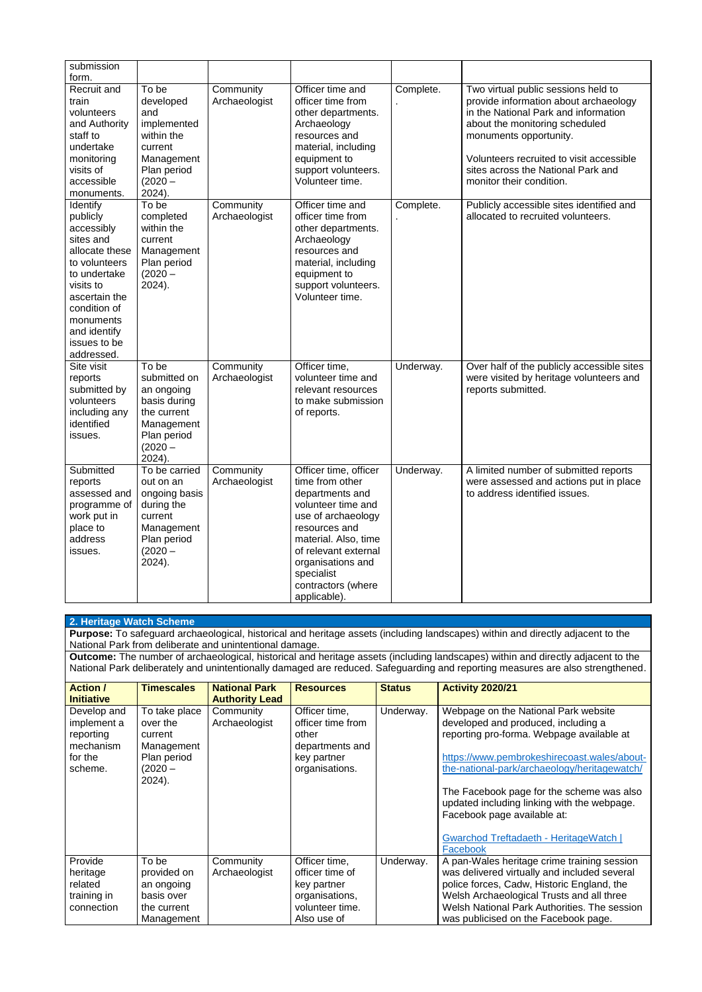| submission<br>form.                                                                                                                                                                                                |                                                                                                                          |                            |                                                                                                                                                                                                                                                   |           |                                                                                                                                                                                                                                                                                                |
|--------------------------------------------------------------------------------------------------------------------------------------------------------------------------------------------------------------------|--------------------------------------------------------------------------------------------------------------------------|----------------------------|---------------------------------------------------------------------------------------------------------------------------------------------------------------------------------------------------------------------------------------------------|-----------|------------------------------------------------------------------------------------------------------------------------------------------------------------------------------------------------------------------------------------------------------------------------------------------------|
| Recruit and<br>train<br>volunteers<br>and Authority<br>staff to<br>undertake<br>monitoring<br>visits of<br>accessible<br>monuments.                                                                                | To be<br>developed<br>and<br>implemented<br>within the<br>current<br>Management<br>Plan period<br>$(2020 -$<br>2024).    | Community<br>Archaeologist | Officer time and<br>officer time from<br>other departments.<br>Archaeology<br>resources and<br>material, including<br>equipment to<br>support volunteers.<br>Volunteer time.                                                                      | Complete. | Two virtual public sessions held to<br>provide information about archaeology<br>in the National Park and information<br>about the monitoring scheduled<br>monuments opportunity.<br>Volunteers recruited to visit accessible<br>sites across the National Park and<br>monitor their condition. |
| <b>Identify</b><br>publicly<br>accessibly<br>sites and<br>allocate these<br>to volunteers<br>to undertake<br>visits to<br>ascertain the<br>condition of<br>monuments<br>and identify<br>issues to be<br>addressed. | To be<br>completed<br>within the<br>current<br>Management<br>Plan period<br>$(2020 -$<br>$2024$ ).                       | Community<br>Archaeologist | Officer time and<br>officer time from<br>other departments.<br>Archaeology<br>resources and<br>material, including<br>equipment to<br>support volunteers.<br>Volunteer time.                                                                      | Complete. | Publicly accessible sites identified and<br>allocated to recruited volunteers.                                                                                                                                                                                                                 |
| Site visit<br>reports<br>submitted by<br>volunteers<br>including any<br>identified<br>issues.                                                                                                                      | To be<br>submitted on<br>an ongoing<br>basis during<br>the current<br>Management<br>Plan period<br>$(2020 -$<br>2024).   | Community<br>Archaeologist | Officer time,<br>volunteer time and<br>relevant resources<br>to make submission<br>of reports.                                                                                                                                                    | Underway. | Over half of the publicly accessible sites<br>were visited by heritage volunteers and<br>reports submitted.                                                                                                                                                                                    |
| Submitted<br>reports<br>assessed and<br>programme of<br>work put in<br>place to<br>address<br>issues.                                                                                                              | To be carried<br>out on an<br>ongoing basis<br>during the<br>current<br>Management<br>Plan period<br>$(2020 -$<br>2024). | Community<br>Archaeologist | Officer time, officer<br>time from other<br>departments and<br>volunteer time and<br>use of archaeology<br>resources and<br>material. Also, time<br>of relevant external<br>organisations and<br>specialist<br>contractors (where<br>applicable). | Underway. | A limited number of submitted reports<br>were assessed and actions put in place<br>to address identified issues.                                                                                                                                                                               |

| 2. Heritage Watch Scheme                                                                                                                                                                          |                                                                                             |                                               |                                                                                                     |               |                                                                                                                                                                                                                                                                                                                                                                                                                 |  |  |  |
|---------------------------------------------------------------------------------------------------------------------------------------------------------------------------------------------------|---------------------------------------------------------------------------------------------|-----------------------------------------------|-----------------------------------------------------------------------------------------------------|---------------|-----------------------------------------------------------------------------------------------------------------------------------------------------------------------------------------------------------------------------------------------------------------------------------------------------------------------------------------------------------------------------------------------------------------|--|--|--|
| <b>Purpose:</b> To safeguard archaeological, historical and heritage assets (including landscapes) within and directly adjacent to the<br>National Park from deliberate and unintentional damage. |                                                                                             |                                               |                                                                                                     |               |                                                                                                                                                                                                                                                                                                                                                                                                                 |  |  |  |
|                                                                                                                                                                                                   |                                                                                             |                                               |                                                                                                     |               | Outcome: The number of archaeological, historical and heritage assets (including landscapes) within and directly adjacent to the                                                                                                                                                                                                                                                                                |  |  |  |
|                                                                                                                                                                                                   |                                                                                             |                                               |                                                                                                     |               | National Park deliberately and unintentionally damaged are reduced. Safeguarding and reporting measures are also strengthened.                                                                                                                                                                                                                                                                                  |  |  |  |
| <b>Action /</b><br><b>Initiative</b>                                                                                                                                                              | <b>Timescales</b>                                                                           | <b>National Park</b><br><b>Authority Lead</b> | <b>Resources</b>                                                                                    | <b>Status</b> | <b>Activity 2020/21</b>                                                                                                                                                                                                                                                                                                                                                                                         |  |  |  |
| Develop and<br>implement a<br>reporting<br>mechanism<br>for the<br>scheme.                                                                                                                        | To take place<br>over the<br>current<br>Management<br>Plan period<br>$(2020 -$<br>$2024$ ). | Community<br>Archaeologist                    | Officer time,<br>officer time from<br>other<br>departments and<br>key partner<br>organisations.     | Underway.     | Webpage on the National Park website<br>developed and produced, including a<br>reporting pro-forma. Webpage available at<br>https://www.pembrokeshirecoast.wales/about-<br>the-national-park/archaeology/heritagewatch/<br>The Facebook page for the scheme was also<br>updated including linking with the webpage.<br>Facebook page available at:<br><b>Gwarchod Treftadaeth - HeritageWatch  </b><br>Facebook |  |  |  |
| Provide<br>heritage<br>related<br>training in<br>connection                                                                                                                                       | To be<br>provided on<br>an ongoing<br>basis over<br>the current<br>Management               | Community<br>Archaeologist                    | Officer time,<br>officer time of<br>key partner<br>organisations,<br>volunteer time.<br>Also use of | Underway.     | A pan-Wales heritage crime training session<br>was delivered virtually and included several<br>police forces, Cadw, Historic England, the<br>Welsh Archaeological Trusts and all three<br>Welsh National Park Authorities. The session<br>was publicised on the Facebook page.                                                                                                                                  |  |  |  |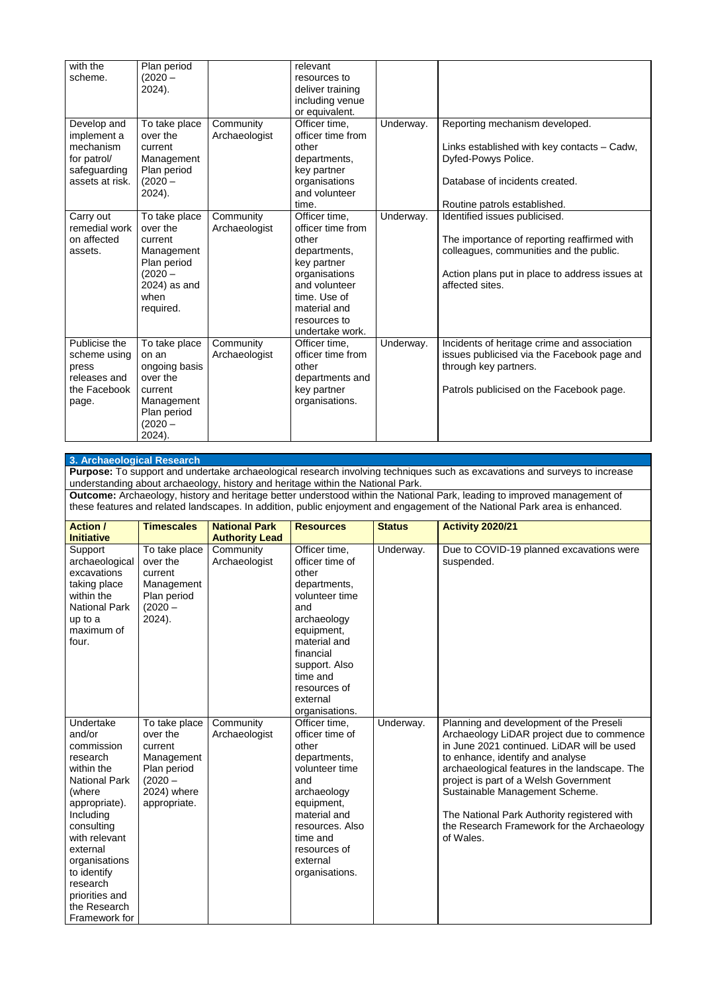| with the<br>scheme.                                                                       | Plan period<br>$(2020 -$<br>$2024$ ).                                                                               |                            | relevant<br>resources to<br>deliver training<br>including venue<br>or equivalent.                                                                                               |           |                                                                                                                                                                                              |
|-------------------------------------------------------------------------------------------|---------------------------------------------------------------------------------------------------------------------|----------------------------|---------------------------------------------------------------------------------------------------------------------------------------------------------------------------------|-----------|----------------------------------------------------------------------------------------------------------------------------------------------------------------------------------------------|
| Develop and<br>implement a<br>mechanism<br>for patrol/<br>safeguarding<br>assets at risk. | To take place<br>over the<br>current<br>Management<br>Plan period<br>$(2020 -$<br>2024).                            | Community<br>Archaeologist | Officer time,<br>officer time from<br>other<br>departments,<br>key partner<br>organisations<br>and volunteer<br>time.                                                           | Underway. | Reporting mechanism developed.<br>Links established with key contacts - Cadw,<br>Dyfed-Powys Police.<br>Database of incidents created.<br>Routine patrols established.                       |
| Carry out<br>remedial work<br>on affected<br>assets.                                      | To take place<br>over the<br>current<br>Management<br>Plan period<br>$(2020 -$<br>2024) as and<br>when<br>required. | Community<br>Archaeologist | Officer time,<br>officer time from<br>other<br>departments,<br>key partner<br>organisations<br>and volunteer<br>time. Use of<br>material and<br>resources to<br>undertake work. | Underway. | Identified issues publicised.<br>The importance of reporting reaffirmed with<br>colleagues, communities and the public.<br>Action plans put in place to address issues at<br>affected sites. |
| Publicise the<br>scheme using<br>press<br>releases and<br>the Facebook<br>page.           | To take place<br>on an<br>ongoing basis<br>over the<br>current<br>Management<br>Plan period<br>$(2020 -$<br>2024).  | Community<br>Archaeologist | Officer time,<br>officer time from<br>other<br>departments and<br>key partner<br>organisations.                                                                                 | Underway. | Incidents of heritage crime and association<br>issues publicised via the Facebook page and<br>through key partners.<br>Patrols publicised on the Facebook page.                              |

#### **3. Archaeological Research**

**Purpose:** To support and undertake archaeological research involving techniques such as excavations and surveys to increase understanding about archaeology, history and heritage within the National Park.

**Outcome:** Archaeology, history and heritage better understood within the National Park, leading to improved management of these features and related landscapes. In addition, public enjoyment and engagement of the National Park area is enhanced.

| <b>Action /</b><br><b>Initiative</b>                                                                                             | <b>Timescales</b>                                                                           | <b>National Park</b><br><b>Authority Lead</b> | <b>Resources</b>                                                                                                                                              | <b>Status</b> | <b>Activity 2020/21</b>                                                                                                            |
|----------------------------------------------------------------------------------------------------------------------------------|---------------------------------------------------------------------------------------------|-----------------------------------------------|---------------------------------------------------------------------------------------------------------------------------------------------------------------|---------------|------------------------------------------------------------------------------------------------------------------------------------|
| Support<br>archaeological<br>excavations<br>taking place<br>within the<br><b>National Park</b><br>up to a<br>maximum of<br>four. | To take place<br>over the<br>current<br>Management<br>Plan period<br>$(2020 -$<br>$2024$ ). | Community<br>Archaeologist                    | Officer time,<br>officer time of<br>other<br>departments,<br>volunteer time<br>and<br>archaeology<br>equipment,<br>material and<br>financial<br>support. Also | Underway.     | Due to COVID-19 planned excavations were<br>suspended.                                                                             |
|                                                                                                                                  |                                                                                             |                                               | time and<br>resources of<br>external<br>organisations.                                                                                                        |               |                                                                                                                                    |
| Undertake<br>and/or<br>commission                                                                                                | To take place<br>over the<br>current                                                        | Community<br>Archaeologist                    | Officer time,<br>officer time of<br>other                                                                                                                     | Underway.     | Planning and development of the Preseli<br>Archaeology LiDAR project due to commence<br>in June 2021 continued. LiDAR will be used |

research within the National Park (where appropriate). Including consulting with relevant external organisations to identify research priorities and the Research Framework for

Management Plan period  $(2020 -$ 2024) where appropriate.

departments, volunteer time and archaeology equipment, material and resources. Also time and resources of external organisations.

to enhance, identify and analyse archaeological features in the landscape. The project is part of a Welsh Government Sustainable Management Scheme.

The National Park Authority registered with the Research Framework for the Archaeology of Wales.